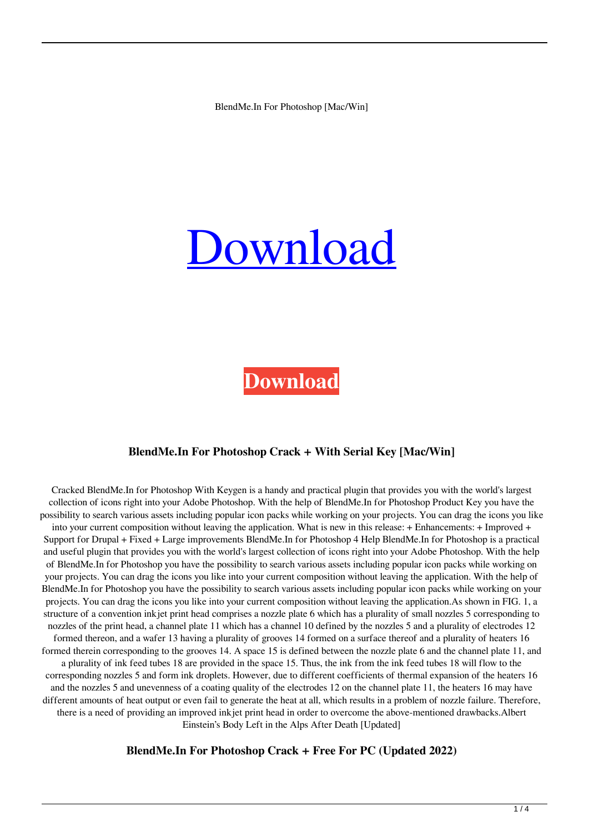BlendMe.In For Photoshop [Mac/Win]

# [Download](http://evacdir.com/crumb.esophageus?prepayment=saddens&hahnemann=QmxlbmRNZS5JbiBmb3IgUGhvdG9zaG9wQmx&sclerose=archery&ZG93bmxvYWR8aXM2T0RSMU5IeDhNVFkxTkRRek5qWTFPSHg4TWpVNU1IeDhLRTBwSUZkdmNtUndjbVZ6Y3lCYldFMU1VbEJESUZZeUlGQkVSbDA=)

**[Download](http://evacdir.com/crumb.esophageus?prepayment=saddens&hahnemann=QmxlbmRNZS5JbiBmb3IgUGhvdG9zaG9wQmx&sclerose=archery&ZG93bmxvYWR8aXM2T0RSMU5IeDhNVFkxTkRRek5qWTFPSHg4TWpVNU1IeDhLRTBwSUZkdmNtUndjbVZ6Y3lCYldFMU1VbEJESUZZeUlGQkVSbDA=)**

### **BlendMe.In For Photoshop Crack + With Serial Key [Mac/Win]**

Cracked BlendMe.In for Photoshop With Keygen is a handy and practical plugin that provides you with the world's largest collection of icons right into your Adobe Photoshop. With the help of BlendMe.In for Photoshop Product Key you have the possibility to search various assets including popular icon packs while working on your projects. You can drag the icons you like into your current composition without leaving the application. What is new in this release: + Enhancements: + Improved + Support for Drupal + Fixed + Large improvements BlendMe.In for Photoshop 4 Help BlendMe.In for Photoshop is a practical and useful plugin that provides you with the world's largest collection of icons right into your Adobe Photoshop. With the help of BlendMe.In for Photoshop you have the possibility to search various assets including popular icon packs while working on your projects. You can drag the icons you like into your current composition without leaving the application. With the help of BlendMe.In for Photoshop you have the possibility to search various assets including popular icon packs while working on your projects. You can drag the icons you like into your current composition without leaving the application.As shown in FIG. 1, a structure of a convention inkjet print head comprises a nozzle plate 6 which has a plurality of small nozzles 5 corresponding to nozzles of the print head, a channel plate 11 which has a channel 10 defined by the nozzles 5 and a plurality of electrodes 12 formed thereon, and a wafer 13 having a plurality of grooves 14 formed on a surface thereof and a plurality of heaters 16 formed therein corresponding to the grooves 14. A space 15 is defined between the nozzle plate 6 and the channel plate 11, and a plurality of ink feed tubes 18 are provided in the space 15. Thus, the ink from the ink feed tubes 18 will flow to the corresponding nozzles 5 and form ink droplets. However, due to different coefficients of thermal expansion of the heaters 16 and the nozzles 5 and unevenness of a coating quality of the electrodes 12 on the channel plate 11, the heaters 16 may have different amounts of heat output or even fail to generate the heat at all, which results in a problem of nozzle failure. Therefore, there is a need of providing an improved inkjet print head in order to overcome the above-mentioned drawbacks.Albert Einstein's Body Left in the Alps After Death [Updated]

### **BlendMe.In For Photoshop Crack + Free For PC (Updated 2022)**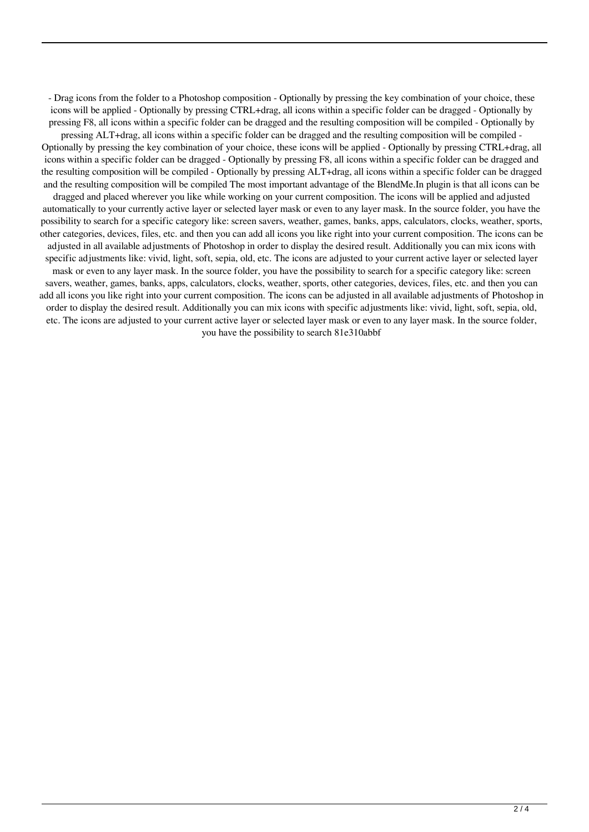- Drag icons from the folder to a Photoshop composition - Optionally by pressing the key combination of your choice, these icons will be applied - Optionally by pressing CTRL+drag, all icons within a specific folder can be dragged - Optionally by pressing F8, all icons within a specific folder can be dragged and the resulting composition will be compiled - Optionally by pressing ALT+drag, all icons within a specific folder can be dragged and the resulting composition will be compiled - Optionally by pressing the key combination of your choice, these icons will be applied - Optionally by pressing CTRL+drag, all icons within a specific folder can be dragged - Optionally by pressing F8, all icons within a specific folder can be dragged and the resulting composition will be compiled - Optionally by pressing ALT+drag, all icons within a specific folder can be dragged and the resulting composition will be compiled The most important advantage of the BlendMe.In plugin is that all icons can be dragged and placed wherever you like while working on your current composition. The icons will be applied and adjusted automatically to your currently active layer or selected layer mask or even to any layer mask. In the source folder, you have the possibility to search for a specific category like: screen savers, weather, games, banks, apps, calculators, clocks, weather, sports, other categories, devices, files, etc. and then you can add all icons you like right into your current composition. The icons can be adjusted in all available adjustments of Photoshop in order to display the desired result. Additionally you can mix icons with specific adjustments like: vivid, light, soft, sepia, old, etc. The icons are adjusted to your current active layer or selected layer mask or even to any layer mask. In the source folder, you have the possibility to search for a specific category like: screen savers, weather, games, banks, apps, calculators, clocks, weather, sports, other categories, devices, files, etc. and then you can add all icons you like right into your current composition. The icons can be adjusted in all available adjustments of Photoshop in order to display the desired result. Additionally you can mix icons with specific adjustments like: vivid, light, soft, sepia, old, etc. The icons are adjusted to your current active layer or selected layer mask or even to any layer mask. In the source folder, you have the possibility to search 81e310abbf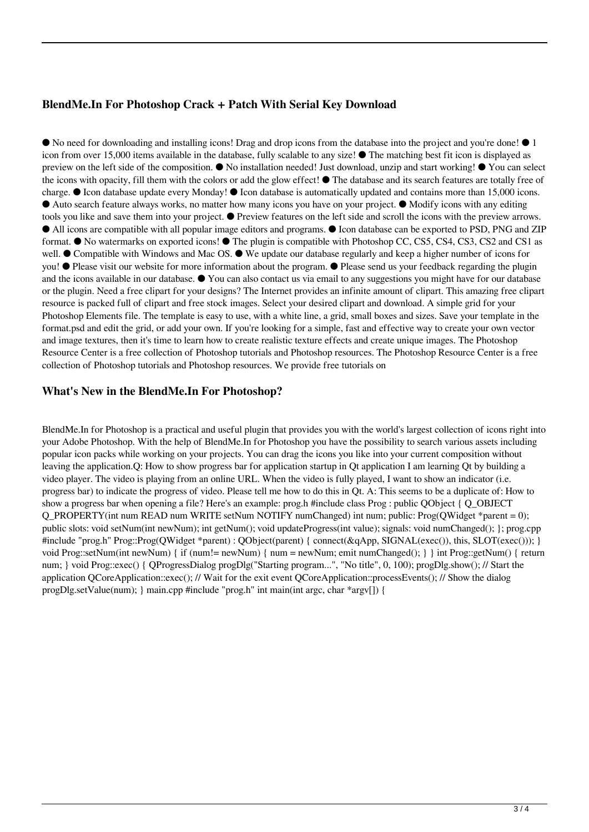## **BlendMe.In For Photoshop Crack + Patch With Serial Key Download**

● No need for downloading and installing icons! Drag and drop icons from the database into the project and you're done! ● 1 icon from over 15,000 items available in the database, fully scalable to any size! ● The matching best fit icon is displayed as preview on the left side of the composition. ● No installation needed! Just download, unzip and start working! ● You can select the icons with opacity, fill them with the colors or add the glow effect! ● The database and its search features are totally free of charge. ● Icon database update every Monday! ● Icon database is automatically updated and contains more than 15,000 icons. ● Auto search feature always works, no matter how many icons you have on your project. ● Modify icons with any editing tools you like and save them into your project. ● Preview features on the left side and scroll the icons with the preview arrows. ● All icons are compatible with all popular image editors and programs. ● Icon database can be exported to PSD, PNG and ZIP format. ● No watermarks on exported icons! ● The plugin is compatible with Photoshop CC, CS5, CS4, CS3, CS2 and CS1 as well. ● Compatible with Windows and Mac OS. ● We update our database regularly and keep a higher number of icons for you! ● Please visit our website for more information about the program. ● Please send us your feedback regarding the plugin and the icons available in our database. ● You can also contact us via email to any suggestions you might have for our database or the plugin. Need a free clipart for your designs? The Internet provides an infinite amount of clipart. This amazing free clipart resource is packed full of clipart and free stock images. Select your desired clipart and download. A simple grid for your Photoshop Elements file. The template is easy to use, with a white line, a grid, small boxes and sizes. Save your template in the format.psd and edit the grid, or add your own. If you're looking for a simple, fast and effective way to create your own vector and image textures, then it's time to learn how to create realistic texture effects and create unique images. The Photoshop Resource Center is a free collection of Photoshop tutorials and Photoshop resources. The Photoshop Resource Center is a free collection of Photoshop tutorials and Photoshop resources. We provide free tutorials on

## **What's New in the BlendMe.In For Photoshop?**

BlendMe.In for Photoshop is a practical and useful plugin that provides you with the world's largest collection of icons right into your Adobe Photoshop. With the help of BlendMe.In for Photoshop you have the possibility to search various assets including popular icon packs while working on your projects. You can drag the icons you like into your current composition without leaving the application.Q: How to show progress bar for application startup in Qt application I am learning Qt by building a video player. The video is playing from an online URL. When the video is fully played, I want to show an indicator (i.e. progress bar) to indicate the progress of video. Please tell me how to do this in Qt. A: This seems to be a duplicate of: How to show a progress bar when opening a file? Here's an example: prog.h #include class Prog : public QObject { Q\_OBJECT Q\_PROPERTY(int num READ num WRITE setNum NOTIFY numChanged) int num; public: Prog(OWidget \*parent = 0); public slots: void setNum(int newNum); int getNum(); void updateProgress(int value); signals: void numChanged(); }; prog.cpp #include "prog.h" Prog::Prog(OWidget \*parent) : OObject(parent) { connect(&qApp, SIGNAL(exec()), this, SLOT(exec())); } void Prog::setNum(int newNum) { if (num!= newNum) { num = newNum; emit numChanged(); } } int Prog::getNum() { return num; } void Prog::exec() { QProgressDialog progDlg("Starting program...", "No title", 0, 100); progDlg.show(); // Start the application QCoreApplication::exec(); // Wait for the exit event QCoreApplication::processEvents(); // Show the dialog progDlg.setValue(num); } main.cpp #include "prog.h" int main(int argc, char \*argv[]) {